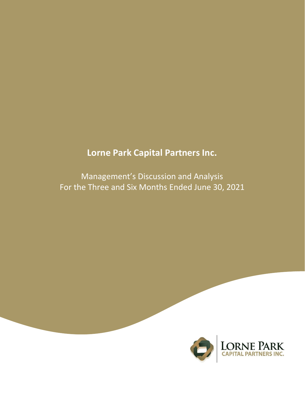# **Lorne Park Capital Partners Inc.**

Management's Discussion and Analysis For the Three and Six Months Ended June 30, 2021

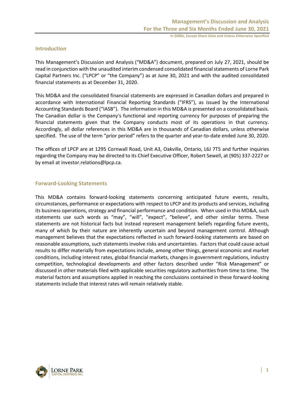## **Introduction**

This Management's Discussion and Analysis ("MD&A") document, prepared on July 27, 2021, should be read in conjunction with the unaudited interim condensed consolidated financial statements of Lorne Park Capital Partners Inc. ("LPCP" or "the Company") as at June 30, 2021 and with the audited consolidated financial statements as at December 31, 2020.

This MD&A and the consolidated financial statements are expressed in Canadian dollars and prepared in accordance with International Financial Reporting Standards ("IFRS"), as issued by the International Accounting Standards Board ("IASB"). The information in this MD&A is presented on a consolidated basis. The Canadian dollar is the Company's functional and reporting currency for purposes of preparing the financial statements given that the Company conducts most of its operations in that currency. Accordingly, all dollar references in this MD&A are in thousands of Canadian dollars, unless otherwise specified. The use of the term "prior period" refers to the quarter and year-to-date ended June 30, 2020.

The offices of LPCP are at 1295 Cornwall Road, Unit A3, Oakville, Ontario, L6J 7T5 and further inquiries regarding the Company may be directed to its Chief Executive Officer, Robert Sewell, at (905) 337-2227 or by email at investor.relations@lpcp.ca.

## **Forward-Looking Statements**

This MD&A contains forward-looking statements concerning anticipated future events, results, circumstances, performance or expectations with respect to LPCP and its products and services, including its business operations, strategy and financial performance and condition. When used in this MD&A, such statements use such words as "may", "will", "expect", "believe", and other similar terms. These statements are not historical facts but instead represent management beliefs regarding future events, many of which by their nature are inherently uncertain and beyond management control. Although management believes that the expectations reflected in such forward-looking statements are based on reasonable assumptions, such statements involve risks and uncertainties. Factors that could cause actual results to differ materially from expectations include, among other things, general economic and market conditions, including interest rates, global financial markets, changes in government regulations, industry competition, technological developments and other factors described under "Risk Management" or discussed in other materials filed with applicable securities regulatory authorities from time to time. The material factors and assumptions applied in reaching the conclusions contained in these forward-looking statements include that interest rates will remain relatively stable.

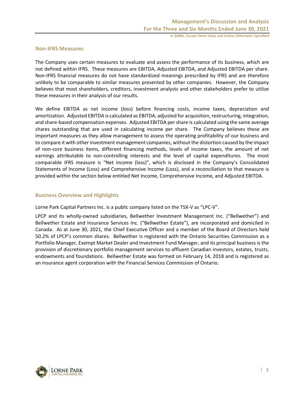## **Non-IFRS Measures**

The Company uses certain measures to evaluate and assess the performance of its business, which are not defined within IFRS. These measures are EBITDA, Adjusted EBITDA, and Adjusted EBITDA per share. Non-IFRS financial measures do not have standardized meanings prescribed by IFRS and are therefore unlikely to be comparable to similar measures presented by other companies. However, the Company believes that most shareholders, creditors, investment analysts and other stakeholders prefer to utilize these measures in their analysis of our results.

We define EBITDA as net income (loss) before financing costs, income taxes, depreciation and amortization. Adjusted EBITDA is calculated as EBITDA, adjusted for acquisition, restructuring, integration, and share-based compensation expenses. Adjusted EBITDA per share is calculated using the same average shares outstanding that are used in calculating income per share. The Company believes these are important measures as they allow management to assess the operating profitability of our business and to compare it with other investment management companies, without the distortion caused by the impact of non-core business items, different financing methods, levels of income taxes, the amount of net earnings attributable to non-controlling interests and the level of capital expenditures. The most comparable IFRS measure is "Net income (loss)", which is disclosed in the Company's Consolidated Statements of Income (Loss) and Comprehensive Income (Loss), and a reconciliation to that measure is provided within the section below entitled Net Income, Comprehensive Income, and Adjusted EBITDA.

## **Business Overview and Highlights**

Lorne Park Capital Partners Inc. is a public company listed on the TSX-V as "LPC-V".

LPCP and its wholly-owned subsidiaries, Bellwether Investment Management Inc. ("Bellwether") and Bellwether Estate and Insurance Services Inc. ("Bellwether Estate"), are incorporated and domiciled in Canada. As at June 30, 2021, the Chief Executive Officer and a member of the Board of Directors held 50.2% of LPCP's common shares. Bellwether is registered with the Ontario Securities Commission as a Portfolio Manager, Exempt Market Dealer and Investment Fund Manager, and its principal business is the provision of discretionary portfolio management services to affluent Canadian investors, estates, trusts, endowments and foundations. Bellwether Estate was formed on February 14, 2018 and is registered as an insurance agent corporation with the Financial Services Commission of Ontario.

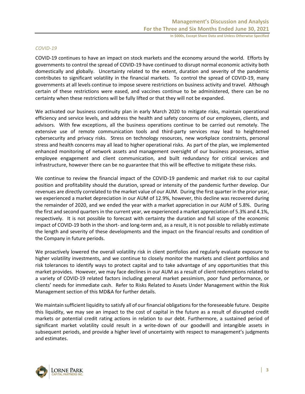## *COVID-19*

COVID-19 continues to have an impact on stock markets and the economy around the world. Efforts by governments to control the spread of COVID-19 have continued to disrupt normal economic activity both domestically and globally. Uncertainty related to the extent, duration and severity of the pandemic contributes to significant volatility in the financial markets. To control the spread of COVID-19, many governments at all levels continue to impose severe restrictions on business activity and travel. Although certain of these restrictions were eased, and vaccines continue to be administered, there can be no certainty when these restrictions will be fully lifted or that they will not be expanded.

We activated our business continuity plan in early March 2020 to mitigate risks, maintain operational efficiency and service levels, and address the health and safety concerns of our employees, clients, and advisors. With few exceptions, all the business operations continue to be carried out remotely. The extensive use of remote communication tools and third-party services may lead to heightened cybersecurity and privacy risks. Stress on technology resources, new workplace constraints, personal stress and health concerns may all lead to higher operational risks. As part of the plan, we implemented enhanced monitoring of network assets and management oversight of our business processes, active employee engagement and client communication, and built redundancy for critical services and infrastructure, however there can be no guarantee that this will be effective to mitigate these risks.

We continue to review the financial impact of the COVID-19 pandemic and market risk to our capital position and profitability should the duration, spread or intensity of the pandemic further develop. Our revenues are directly correlated to the market value of our AUM. During the first quarter in the prior year, we experienced a market depreciation in our AUM of 12.9%, however, this decline was recovered during the remainder of 2020, and we ended the year with a market appreciation in our AUM of 5.8%. During the first and second quarters in the current year, we experienced a market appreciation of 5.3% and 4.1%, respectively. It is not possible to forecast with certainty the duration and full scope of the economic impact of COVID-19 both in the short- and long-term and, as a result, it is not possible to reliably estimate the length and severity of these developments and the impact on the financial results and condition of the Company in future periods.

We proactively lowered the overall volatility risk in client portfolios and regularly evaluate exposure to higher volatility investments, and we continue to closely monitor the markets and client portfolios and risk tolerances to identify ways to protect capital and to take advantage of any opportunities that this market provides. However, we may face declines in our AUM as a result of client redemptions related to a variety of COVID-19 related factors including general market pessimism, poor fund performance, or clients' needs for immediate cash. Refer to Risks Related to Assets Under Management within the Risk Management section of this MD&A for further details.

We maintain sufficient liquidity to satisfy all of our financial obligations for the foreseeable future. Despite this liquidity, we may see an impact to the cost of capital in the future as a result of disrupted credit markets or potential credit rating actions in relation to our debt. Furthermore, a sustained period of significant market volatility could result in a write-down of our goodwill and intangible assets in subsequent periods, and provide a higher level of uncertainty with respect to management's judgments and estimates.

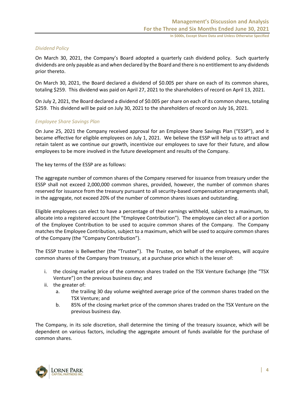### *Dividend Policy*

On March 30, 2021, the Company's Board adopted a quarterly cash dividend policy. Such quarterly dividends are only payable as and when declared by the Board and there is no entitlement to any dividends prior thereto.

On March 30, 2021, the Board declared a dividend of \$0.005 per share on each of its common shares, totaling \$259. This dividend was paid on April 27, 2021 to the shareholders of record on April 13, 2021.

On July 2, 2021, the Board declared a dividend of \$0.005 per share on each of its common shares, totaling \$259. This dividend will be paid on July 30, 2021 to the shareholders of record on July 16, 2021.

## *Employee Share Savings Plan*

On June 25, 2021 the Company received approval for an Employee Share Savings Plan ("ESSP"), and it became effective for eligible employees on July 1, 2021. We believe the ESSP will help us to attract and retain talent as we continue our growth, incentivize our employees to save for their future, and allow employees to be more involved in the future development and results of the Company.

The key terms of the ESSP are as follows:

The aggregate number of common shares of the Company reserved for issuance from treasury under the ESSP shall not exceed 2,000,000 common shares, provided, however, the number of common shares reserved for issuance from the treasury pursuant to all security-based compensation arrangements shall, in the aggregate, not exceed 20% of the number of common shares issues and outstanding.

Eligible employees can elect to have a percentage of their earnings withheld, subject to a maximum, to allocate into a registered account (the "Employee Contribution"). The employee can elect all or a portion of the Employee Contribution to be used to acquire common shares of the Company. The Company matches the Employee Contribution, subject to a maximum, which will be used to acquire common shares of the Company (the "Company Contribution").

The ESSP trustee is Bellwether (the "Trustee"). The Trustee, on behalf of the employees, will acquire common shares of the Company from treasury, at a purchase price which is the lesser of:

- i. the closing market price of the common shares traded on the TSX Venture Exchange (the "TSX Venture") on the previous business day; and
- ii. the greater of:
	- a. the trailing 30 day volume weighted average price of the common shares traded on the TSX Venture; and
	- b. 85% of the closing market price of the common shares traded on the TSX Venture on the previous business day.

The Company, in its sole discretion, shall determine the timing of the treasury issuance, which will be dependent on various factors, including the aggregate amount of funds available for the purchase of common shares.

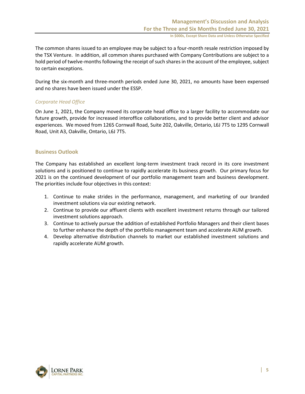The common shares issued to an employee may be subject to a four-month resale restriction imposed by the TSX Venture. In addition, all common shares purchased with Company Contributions are subject to a hold period of twelve-months following the receipt of such shares in the account of the employee, subject to certain exceptions.

During the six-month and three-month periods ended June 30, 2021, no amounts have been expensed and no shares have been issued under the ESSP.

## *Corporate Head Office*

On June 1, 2021, the Company moved its corporate head office to a larger facility to accommodate our future growth, provide for increased interoffice collaborations, and to provide better client and advisor experiences. We moved from 1265 Cornwall Road, Suite 202, Oakville, Ontario, L6J 7T5 to 1295 Cornwall Road, Unit A3, Oakville, Ontario, L6J 7T5.

## **Business Outlook**

The Company has established an excellent long-term investment track record in its core investment solutions and is positioned to continue to rapidly accelerate its business growth. Our primary focus for 2021 is on the continued development of our portfolio management team and business development. The priorities include four objectives in this context:

- 1. Continue to make strides in the performance, management, and marketing of our branded investment solutions via our existing network.
- 2. Continue to provide our affluent clients with excellent investment returns through our tailored investment solutions approach.
- 3. Continue to actively pursue the addition of established Portfolio Managers and their client bases to further enhance the depth of the portfolio management team and accelerate AUM growth.
- 4. Develop alternative distribution channels to market our established investment solutions and rapidly accelerate AUM growth.

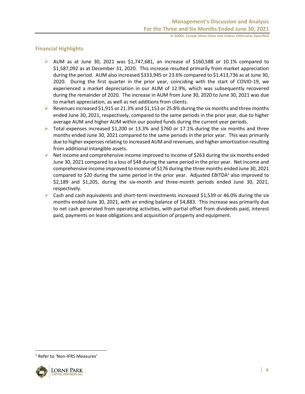## **Financial Highlights**

- $\triangleright$  AUM as at June 30, 2021 was \$1,747,681, an increase of \$160,588 or 10.1% compared to \$1,587,092 as at December 31, 2020. This increase resulted primarily from market appreciation during the period. AUM also increased \$333,945 or 23.6% compared to \$1,413,736 as at June 30, 2020. During the first quarter in the prior year, coinciding with the start of COVID-19, we experienced a market depreciation in our AUM of 12.9%, which was subsequently recovered during the remainder of 2020. The increase in AUM from June 30, 2020 to June 30, 2021 was due to market appreciation, as well as net additions from clients.
- Exercises increased \$1,915 or 21.3% and \$1,153 or 25.8% during the six months and three months ended June 30, 2021, respectively, compared to the same periods in the prior year, due to higher average AUM and higher AUM within our pooled funds during the current year periods.
- $\triangleright$  Total expenses increased \$1,200 or 13.3% and \$760 or 17.1% during the six months and three months ended June 30, 2021 compared to the same periods in the prior year. This was primarily due to higher expenses relating to increased AUM and revenues, and higher amortization resulting from additional intangible assets.
- $\triangleright$  Net income and comprehensive income improved to income of \$263 during the six months ended June 30, 2021 compared to a loss of \$48 during the same period in the prior year. Net income and comprehensive income improved to income of \$176 during the three months ended June 30, 2021 compared to \$20 during the same period in the prior year. Adjusted EBITDA $1$  also improved to \$2,189 and \$1,205, during the six-month and three-month periods ended June 30, 2021, respectively.
- $\triangleright$  Cash and cash equivalents and short-term investments increased \$1,539 or 46.0% during the six months ended June 30, 2021, with an ending balance of \$4,883. This increase was primarily due to net cash generated from operating activities, with partial offset from dividends paid, interest paid, payments on lease obligations and acquisition of property and equipment.

<sup>&</sup>lt;sup>1</sup> Refer to 'Non-IFRS Measures'

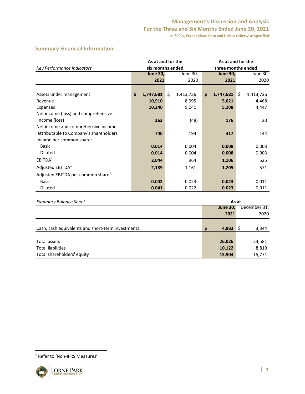## **Summary Financial Information**

|                                                 | As at and for the |    |           | As at and for the  |                 |    |           |  |  |  |
|-------------------------------------------------|-------------------|----|-----------|--------------------|-----------------|----|-----------|--|--|--|
| Key Performance Indicators                      | six months ended  |    |           | three months ended |                 |    |           |  |  |  |
|                                                 | <b>June 30,</b>   |    | June 30,  |                    | <b>June 30,</b> |    | June 30,  |  |  |  |
|                                                 | 2021              |    | 2020      |                    | 2021            |    | 2020      |  |  |  |
|                                                 |                   |    |           |                    |                 |    |           |  |  |  |
| Assets under management                         | \$<br>1,747,681   | Ŝ. | 1,413,736 | \$                 | 1,747,681       | Ŝ. | 1,413,736 |  |  |  |
| Revenue                                         | 10,910            |    | 8,995     |                    | 5,621           |    | 4,468     |  |  |  |
| Expenses                                        | 10,240            |    | 9,040     |                    | 5,208           |    | 4,447     |  |  |  |
| Net income (loss) and comprehensive             |                   |    |           |                    |                 |    |           |  |  |  |
| income (loss)                                   | 263               |    | (48)      |                    | 176             |    | 20        |  |  |  |
| Net income and comprehensive income             |                   |    |           |                    |                 |    |           |  |  |  |
| attributable to Company's shareholders          | 740               |    | 194       |                    | 417             |    | 144       |  |  |  |
| Income per common share:                        |                   |    |           |                    |                 |    |           |  |  |  |
| <b>Basic</b>                                    | 0.014             |    | 0.004     |                    | 0.008           |    | 0.003     |  |  |  |
| Diluted                                         | 0.014             |    | 0.004     |                    | 0.008           |    | 0.003     |  |  |  |
| EBITDA <sup>1</sup>                             | 2,044             |    | 964       |                    | 1,106           |    | 525       |  |  |  |
| Adjusted EBITDA <sup>1</sup>                    | 2,189             |    | 1,161     |                    | 1,205           |    | 571       |  |  |  |
| Adjusted EBITDA per common share <sup>1</sup> : |                   |    |           |                    |                 |    |           |  |  |  |
| <b>Basic</b>                                    | 0.042             |    | 0.023     |                    | 0.023           |    | 0.011     |  |  |  |
| <b>Diluted</b>                                  | 0.041             |    | 0.022     |                    | 0.023           |    | 0.011     |  |  |  |

| <b>Summary Balance Sheet</b>                      | As at           |              |  |
|---------------------------------------------------|-----------------|--------------|--|
|                                                   | <b>June 30,</b> | December 31, |  |
|                                                   | 2021            | 2020         |  |
|                                                   |                 |              |  |
| Cash, cash equivalents and short-term investments | \$<br>4,883     | 3,344        |  |
|                                                   |                 |              |  |
| Total assets                                      | 26,026          | 24,581       |  |
| <b>Total liabilities</b>                          | 10,122          | 8,810        |  |
| Total shareholders' equity                        | 15,904          | 15,771       |  |

<sup>1</sup> Refer to 'Non-IFRS Measures'

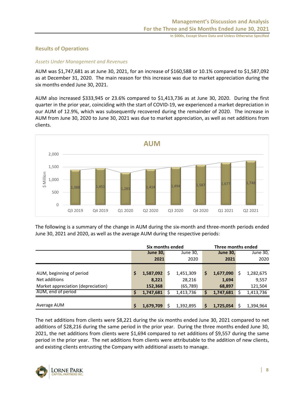## **Results of Operations**

## *Assets Under Management and Revenues*

AUM was \$1,747,681 as at June 30, 2021, for an increase of \$160,588 or 10.1% compared to \$1,587,092 as at December 31, 2020. The main reason for this increase was due to market appreciation during the six months ended June 30, 2021.

AUM also increased \$333,945 or 23.6% compared to \$1,413,736 as at June 30, 2020. During the first quarter in the prior year, coinciding with the start of COVID-19, we experienced a market depreciation in our AUM of 12.9%, which was subsequently recovered during the remainder of 2020. The increase in AUM from June 30, 2020 to June 30, 2021 was due to market appreciation, as well as net additions from clients.



The following is a summary of the change in AUM during the six-month and three-month periods ended June 30, 2021 and 2020, as well as the average AUM during the respective periods:

|                                    | Six months ended |           |          |           |                 | Three months ended |  |           |  |  |
|------------------------------------|------------------|-----------|----------|-----------|-----------------|--------------------|--|-----------|--|--|
|                                    | <b>June 30,</b>  |           | June 30, |           | <b>June 30,</b> |                    |  | June 30,  |  |  |
|                                    |                  | 2021      |          | 2020      |                 | 2021               |  | 2020      |  |  |
|                                    |                  |           |          |           |                 |                    |  |           |  |  |
| AUM, beginning of period           | \$               | 1,587,092 | Ś        | 1,451,309 | \$              | 1,677,090          |  | 1,282,675 |  |  |
| Net additions                      |                  | 8,221     |          | 28,216    |                 | 1,694              |  | 9,557     |  |  |
| Market appreciation (depreciation) |                  | 152,368   |          | (65,789)  |                 | 68,897             |  | 121,504   |  |  |
| AUM, end of period                 | S                | 1,747,681 |          | 1,413,736 | \$              | 1,747,681          |  | 1,413,736 |  |  |
|                                    |                  |           |          |           |                 |                    |  |           |  |  |
| Average AUM                        | \$               | 1,679,709 | ς        | 1,392,895 | \$              | 1,725,054          |  | 1,394,964 |  |  |

The net additions from clients were \$8,221 during the six months ended June 30, 2021 compared to net additions of \$28,216 during the same period in the prior year. During the three months ended June 30, 2021, the net additions from clients were \$1,694 compared to net additions of \$9,557 during the same period in the prior year. The net additions from clients were attributable to the addition of new clients, and existing clients entrusting the Company with additional assets to manage.

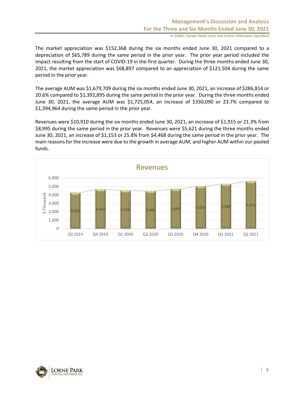The market appreciation was \$152,368 during the six months ended June 30, 2021 compared to a depreciation of \$65,789 during the same period in the prior year. The prior year period included the impact resulting from the start of COVID-19 in the first quarter. During the three months ended June 30, 2021, the market appreciation was \$68,897 compared to an appreciation of \$121,504 during the same period in the prior year.

The average AUM was \$1,679,709 during the six months ended June 30, 2021, an increase of \$286,814 or 20.6% compared to \$1,392,895 during the same period in the prior year. During the three months ended June 30, 2021, the average AUM was \$1,725,054, an increase of \$330,090 or 23.7% compared to \$1,394,964 during the same period in the prior year.

Revenues were \$10,910 during the six months ended June 30, 2021, an increase of \$1,915 or 21.3% from \$8,995 during the same period in the prior year. Revenues were \$5,621 during the three months ended June 30, 2021, an increase of \$1,153 or 25.8% from \$4,468 during the same period in the prior year. The main reasons for the increase were due to the growth in average AUM, and higher AUM within our pooled funds.



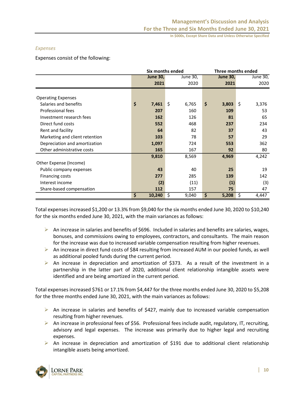### *Expenses*

Expenses consist of the following:

|                                |                 | Six months ended | Three months ended |             |  |  |  |
|--------------------------------|-----------------|------------------|--------------------|-------------|--|--|--|
|                                | <b>June 30,</b> | June 30,         | <b>June 30,</b>    | June 30,    |  |  |  |
|                                | 2021            | 2020             | 2021               | 2020        |  |  |  |
|                                |                 |                  |                    |             |  |  |  |
| <b>Operating Expenses</b>      |                 |                  |                    |             |  |  |  |
| Salaries and benefits          | \$<br>7,461     | \$<br>6,765      | \$<br>3,803        | \$<br>3,376 |  |  |  |
| Professional fees              | 207             | 160              | 109                | 53          |  |  |  |
| Investment research fees       | 162             | 126              | 81                 | 65          |  |  |  |
| Direct fund costs              | 552             | 468              | 237                | 234         |  |  |  |
| Rent and facility              | 64              | 82               | 37                 | 43          |  |  |  |
| Marketing and client retention | 103             | 78               | 57                 | 29          |  |  |  |
| Depreciation and amortization  | 1,097           | 724              | 553                | 362         |  |  |  |
| Other administrative costs     | 165             | 167              | 92                 | 80          |  |  |  |
|                                | 9,810           | 8,569            | 4,969              | 4,242       |  |  |  |
| Other Expense (Income)         |                 |                  |                    |             |  |  |  |
| Public company expenses        | 43              | 40               | 25                 | 19          |  |  |  |
| <b>Financing costs</b>         | 277             | 285              | 139                | 142         |  |  |  |
| Interest income                | (2)             | (11)             | (1)                | (3)         |  |  |  |
| Share-based compensation       | 112             | 157              | 75                 | 47          |  |  |  |
|                                | \$<br>10,240    | \$<br>9,040      | \$<br>5,208        | \$<br>4,447 |  |  |  |

Total expenses increased \$1,200 or 13.3% from \$9,040 for the six months ended June 30, 2020 to \$10,240 for the six months ended June 30, 2021, with the main variances as follows:

- $\triangleright$  An increase in salaries and benefits of \$696. Included in salaries and benefits are salaries, wages, bonuses, and commissions owing to employees, contractors, and consultants. The main reason for the increase was due to increased variable compensation resulting from higher revenues.
- ➢ An increase in direct fund costs of \$84 resulting from increased AUM in our pooled funds, as well as additional pooled funds during the current period.
- $\triangleright$  An increase in depreciation and amortization of \$373. As a result of the investment in a partnership in the latter part of 2020, additional client relationship intangible assets were identified and are being amortized in the current period.

Total expenses increased \$761 or 17.1% from \$4,447 for the three months ended June 30, 2020 to \$5,208 for the three months ended June 30, 2021, with the main variances as follows:

- ➢ An increase in salaries and benefits of \$427, mainly due to increased variable compensation resulting from higher revenues.
- $\triangleright$  An increase in professional fees of \$56. Professional fees include audit, regulatory, IT, recruiting, advisory and legal expenses. The increase was primarily due to higher legal and recruiting expenses.
- $\triangleright$  An increase in depreciation and amortization of \$191 due to additional client relationship intangible assets being amortized.

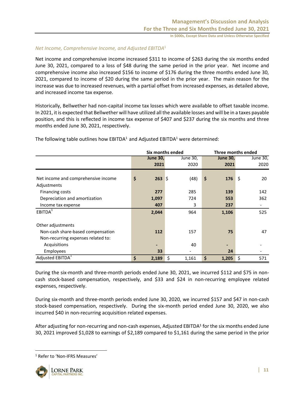## *Net Income, Comprehensive Income, and Adjusted EBITDA*<sup>1</sup>

Net income and comprehensive income increased \$311 to income of \$263 during the six months ended June 30, 2021, compared to a loss of \$48 during the same period in the prior year. Net income and comprehensive income also increased \$156 to income of \$176 during the three months ended June 30, 2021, compared to income of \$20 during the same period in the prior year. The main reason for the increase was due to increased revenues, with a partial offset from increased expenses, as detailed above, and increased income tax expense.

Historically, Bellwether had non-capital income tax losses which were available to offset taxable income. In 2021, it is expected that Bellwether will have utilized all the available losses and will be in a taxes payable position, and this is reflected in income tax expense of \$407 and \$237 during the six months and three months ended June 30, 2021, respectively.

|                                     |                 | Six months ended | Three months ended |          |  |  |  |
|-------------------------------------|-----------------|------------------|--------------------|----------|--|--|--|
|                                     | <b>June 30,</b> | June 30,         | <b>June 30,</b>    | June 30, |  |  |  |
|                                     | 2021            | 2020             | 2021               | 2020     |  |  |  |
|                                     |                 |                  |                    |          |  |  |  |
| Net income and comprehensive income | \$<br>$263$ \$  | (48)             | \$<br>176          | \$<br>20 |  |  |  |
| Adjustments                         |                 |                  |                    |          |  |  |  |
| <b>Financing costs</b>              | 277             | 285              | 139                | 142      |  |  |  |
| Depreciation and amortization       | 1,097           | 724              | 553                | 362      |  |  |  |
| Income tax expense                  | 407             | 3                | 237                |          |  |  |  |
| EBITDA <sup>1</sup>                 | 2,044           | 964              | 1,106              | 525      |  |  |  |
| Other adjustments                   |                 |                  |                    |          |  |  |  |
| Non-cash share-based compensation   | 112             | 157              | 75                 | 47       |  |  |  |
| Non-recurring expenses related to:  |                 |                  |                    |          |  |  |  |
| Acquisitions                        |                 | 40               |                    |          |  |  |  |
| Employees                           | 33              |                  | 24                 |          |  |  |  |
| Adjusted EBITDA <sup>1</sup>        | \$<br>2,189     | \$<br>1,161      | \$<br>1,205        | 571<br>S |  |  |  |

The following table outlines how  $EBITDA<sup>1</sup>$  and Adjusted EBITDA<sup>1</sup> were determined:

During the six-month and three-month periods ended June 30, 2021, we incurred \$112 and \$75 in noncash stock-based compensation, respectively, and \$33 and \$24 in non-recurring employee related expenses, respectively.

During six-month and three-month periods ended June 30, 2020, we incurred \$157 and \$47 in non-cash stock-based compensation, respectively. During the six-month period ended June 30, 2020, we also incurred \$40 in non-recurring acquisition related expenses.

After adjusting for non-recurring and non-cash expenses, Adjusted EBITDA<sup>1</sup> for the six months ended June 30, 2021 improved \$1,028 to earnings of \$2,189 compared to \$1,161 during the same period in the prior

<sup>1</sup> Refer to 'Non-IFRS Measures'

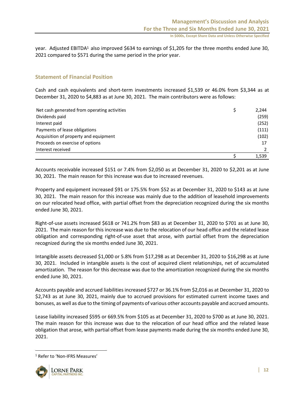year. Adjusted EBITDA<sup>1</sup> also improved \$634 to earnings of \$1,205 for the three months ended June 30, 2021 compared to \$571 during the same period in the prior year.

## **Statement of Financial Position**

Cash and cash equivalents and short-term investments increased \$1,539 or 46.0% from \$3,344 as at December 31, 2020 to \$4,883 as at June 30, 2021. The main contributors were as follows:

| Net cash generated from operating activities | 2,244 |
|----------------------------------------------|-------|
| Dividends paid                               | (259) |
| Interest paid                                | (252) |
| Payments of lease obligations                | (111) |
| Acquisition of property and equipment        | (102) |
| Proceeds on exercise of options              |       |
| Interest received                            |       |
|                                              | 1.539 |

Accounts receivable increased \$151 or 7.4% from \$2,050 as at December 31, 2020 to \$2,201 as at June 30, 2021. The main reason for this increase was due to increased revenues.

Property and equipment increased \$91 or 175.5% from \$52 as at December 31, 2020 to \$143 as at June 30, 2021. The main reason for this increase was mainly due to the addition of leasehold improvements on our relocated head office, with partial offset from the depreciation recognized during the six months ended June 30, 2021.

Right-of-use assets increased \$618 or 741.2% from \$83 as at December 31, 2020 to \$701 as at June 30, 2021. The main reason for this increase was due to the relocation of our head office and the related lease obligation and corresponding right-of-use asset that arose, with partial offset from the depreciation recognized during the six months ended June 30, 2021.

Intangible assets decreased \$1,000 or 5.8% from \$17,298 as at December 31, 2020 to \$16,298 as at June 30, 2021. Included in intangible assets is the cost of acquired client relationships, net of accumulated amortization. The reason for this decrease was due to the amortization recognized during the six months ended June 30, 2021.

Accounts payable and accrued liabilities increased \$727 or 36.1% from \$2,016 as at December 31, 2020 to \$2,743 as at June 30, 2021, mainly due to accrued provisions for estimated current income taxes and bonuses, as well as due to the timing of payments of various other accounts payable and accrued amounts.

Lease liability increased \$595 or 669.5% from \$105 as at December 31, 2020 to \$700 as at June 30, 2021. The main reason for this increase was due to the relocation of our head office and the related lease obligation that arose, with partial offset from lease payments made during the six months ended June 30, 2021.

<sup>1</sup> Refer to 'Non-IFRS Measures'

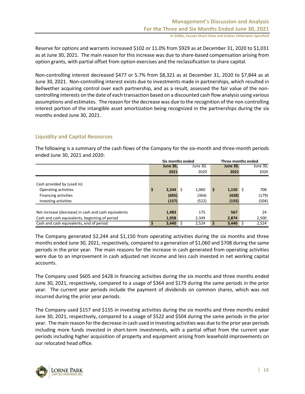Reserve for options and warrants increased \$102 or 11.0% from \$929 as at December 31, 2020 to \$1,031 as at June 30, 2021. The main reason for this increase was due to share-based compensation arising from option grants, with partial offset from option exercises and the reclassification to share capital.

Non-controlling interest decreased \$477 or 5.7% from \$8,321 as at December 31, 2020 to \$7,844 as at June 30, 2021. Non-controlling interest exists due to investments made in partnerships, which resulted in Bellwether acquiring control over each partnership, and as a result, assessed the fair value of the noncontrolling interests on the date of each transaction based on a discounted cash flow analysis using various assumptions and estimates. The reason for the decrease was due to the recognition of the non-controlling interest portion of the intangible asset amortization being recognized in the partnerships during the six months ended June 30, 2021.

## **Liquidity and Capital Resources**

The following is a summary of the cash flows of the Company for the six-month and three-month periods ended June 30, 2021 and 2020:

|                                                      | Six months ended |                 |  | Three months ended |    |                 |  |          |
|------------------------------------------------------|------------------|-----------------|--|--------------------|----|-----------------|--|----------|
|                                                      |                  | <b>June 30.</b> |  | June 30.           |    | <b>June 30.</b> |  | June 30, |
|                                                      |                  | 2021            |  | 2020               |    | 2021            |  | 2020     |
|                                                      |                  |                 |  |                    |    |                 |  |          |
| Cash provided by (used in)                           |                  |                 |  |                    |    |                 |  |          |
| Operating activities                                 | \$               | 2,244           |  | 1.060              | \$ | $1,150$ \$      |  | 708      |
| <b>Financing activities</b>                          |                  | (605)           |  | (364)              |    | (428)           |  | (179)    |
| Investing activities                                 |                  | (157)           |  | (522)              |    | (155)           |  | (504)    |
|                                                      |                  |                 |  |                    |    |                 |  |          |
| Net increase (decrease) in cash and cash equivalents |                  | 1,483           |  | 175                |    | 567             |  | 24       |
| Cash and cash equivalents, beginning of period       |                  | 1,958           |  | 2.349              |    | 2.874           |  | 2,500    |
| Cash and cash equivalents, end of period             |                  | $3,440$ \$      |  | 2,524              |    | 3,440           |  | 2,524    |

The Company generated \$2,244 and \$1,150 from operating activities during the six months and three months ended June 30, 2021, respectively, compared to a generation of \$1,060 and \$708 during the same periods in the prior year. The main reasons for the increase in cash generated from operating activities were due to an improvement in cash adjusted net income and less cash invested in net working capital accounts.

The Company used \$605 and \$428 in financing activities during the six months and three months ended June 30, 2021, respectively, compared to a usage of \$364 and \$179 during the same periods in the prior year. The current year periods include the payment of dividends on common shares, which was not incurred during the prior year periods.

The Company used \$157 and \$155 in investing activities during the six months and three months ended June 30, 2021, respectively, compared to a usage of \$522 and \$504 during the same periods in the prior year. The main reason for the decrease in cash used in investing activities was due to the prior year periods including more funds invested in short-term investments, with a partial offset from the current year periods including higher acquisition of property and equipment arising from leasehold improvements on our relocated head office.

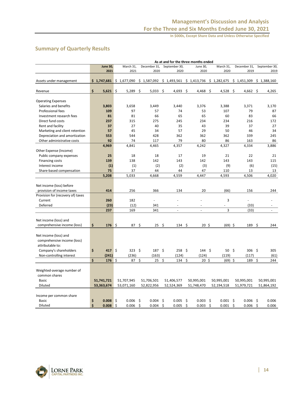## **Summary of Quarterly Results**

|                                   | As at and for the three months ended |               |                          |                       |                                        |              |              |               |  |  |  |  |  |
|-----------------------------------|--------------------------------------|---------------|--------------------------|-----------------------|----------------------------------------|--------------|--------------|---------------|--|--|--|--|--|
|                                   | <b>June 30,</b>                      | March 31,     | December 31,             | September 30,         | June 30,                               | March 31,    | December 31, | September 30, |  |  |  |  |  |
|                                   | 2021                                 | 2021          | 2020                     | 2020                  | 2020                                   | 2020         | 2019         | 2019          |  |  |  |  |  |
|                                   |                                      |               |                          |                       |                                        |              |              |               |  |  |  |  |  |
| Assets under management           | \$1,747,681                          | \$1,677,090   |                          |                       | $$1,587,092$ $$1,493,561$ $$1,413,736$ | \$1,282,675  | \$1,451,309  | \$1,388,160   |  |  |  |  |  |
|                                   | \$                                   |               |                          |                       |                                        |              |              |               |  |  |  |  |  |
| Revenue                           | 5,621                                | \$<br>5,289   | \$.<br>5,033             | -\$<br>4,693          | \$<br>4,468                            | Ŝ.<br>4,528  | \$.<br>4,662 | \$.<br>4,265  |  |  |  |  |  |
| <b>Operating Expenses</b>         |                                      |               |                          |                       |                                        |              |              |               |  |  |  |  |  |
| Salaries and benefits             | 3,803                                | 3,658         | 3,449                    | 3,440                 | 3,376                                  | 3,388        | 3,371        | 3,170         |  |  |  |  |  |
| <b>Professional fees</b>          | 109                                  | 97            | 57                       | 74                    | 53                                     | 107          | 79           | 87            |  |  |  |  |  |
| Investment research fees          | 81                                   | 81            | 66                       | 65                    | 65                                     | 60           | 83           | 66            |  |  |  |  |  |
| Direct fund costs                 | 237                                  | 315           | 275                      | 245                   | 234                                    | 234          | 216          | 172           |  |  |  |  |  |
| Rent and facility                 | 37                                   | 27            | 40                       | 35                    | 43                                     | 39           | 37           | 27            |  |  |  |  |  |
| Marketing and client retention    | 57                                   | 45            | 34                       | 57                    | 29                                     | 50           | 46           | 34            |  |  |  |  |  |
| Depreciation and amortization     | 553                                  | 544           | 428                      | 362                   | 362                                    | 362          | 339          | 245           |  |  |  |  |  |
| Other administrative costs        | 92                                   | 74            | 117                      | 79                    | 80                                     | 86           | 163          | 86            |  |  |  |  |  |
|                                   | 4,969                                | 4,841         | 4,465                    | 4,357                 | 4,242                                  | 4,327        | 4,334        | 3,886         |  |  |  |  |  |
| Other Expense (Income)            |                                      |               |                          |                       |                                        |              |              |               |  |  |  |  |  |
| Public company expenses           | 25                                   | 18            | 18                       | 17                    | 19                                     | 21           | 22           | 21            |  |  |  |  |  |
| <b>Financing costs</b>            | 139                                  | 138           | 142                      | 143                   | 142                                    | 143          | 143          | 115           |  |  |  |  |  |
| Interest income                   | (1)                                  | (1)           | (2)                      | (2)                   | (3)                                    | (9)          | (6)          | (15)          |  |  |  |  |  |
| Share-based compensation          | 75                                   | 37            | 44                       | 44                    | 47                                     | 110          | 13           | 13            |  |  |  |  |  |
|                                   | 5,208                                | 5,033         | 4,668                    | 4,559                 | 4,447                                  | 4,593        | 4,506        | 4,020         |  |  |  |  |  |
|                                   |                                      |               |                          |                       |                                        |              |              |               |  |  |  |  |  |
| Net income (loss) before          |                                      |               |                          |                       |                                        |              |              |               |  |  |  |  |  |
| provision of income taxes         | 414                                  | 256           | 366                      | 134                   | 20                                     | (66)         | 156          | 244           |  |  |  |  |  |
| Provision for (recovery of) taxes |                                      |               |                          |                       |                                        |              |              |               |  |  |  |  |  |
| Current                           | 260                                  | 182           | $\overline{\phantom{a}}$ |                       |                                        | 3            | L,           |               |  |  |  |  |  |
| Deferred                          | (23)                                 | (12)          | 341                      |                       |                                        |              | (33)         |               |  |  |  |  |  |
|                                   | 237                                  | 169           | 341                      | $\sim$                | ÷.                                     | 3            | (33)         | $\sim$        |  |  |  |  |  |
|                                   |                                      |               |                          |                       |                                        |              |              |               |  |  |  |  |  |
| Net income (loss) and             |                                      |               |                          |                       |                                        |              |              |               |  |  |  |  |  |
| comprehensive income (loss)       | $176$ \$<br>\$                       | 87 \$         | 25                       | -\$<br>$134 \quad $5$ | 20 <sup>5</sup>                        | $(69)$ \$    | 189 \$       | 244           |  |  |  |  |  |
|                                   |                                      |               |                          |                       |                                        |              |              |               |  |  |  |  |  |
| Net income (loss) and             |                                      |               |                          |                       |                                        |              |              |               |  |  |  |  |  |
| comprehensive income (loss)       |                                      |               |                          |                       |                                        |              |              |               |  |  |  |  |  |
| attributable to:                  |                                      |               |                          |                       |                                        |              |              |               |  |  |  |  |  |
| Company's shareholders            | \$<br>417 \$                         | $323 \quad $$ | $187 \;$ \$              | $258 \;$ \$           | $144 \; \text{S}$                      | $50 \quad $$ | $306$ \$     | 305           |  |  |  |  |  |
| Non-controlling interest          | (241)                                | (236)         | (163)                    | (124)                 | (124)                                  | (119)        | (117)        | (61)          |  |  |  |  |  |
|                                   | \$<br>176S                           | 87            | \$<br>25                 | \$<br>134             | \$<br>20 <sub>5</sub>                  | $(69)$ \$    | 189          | \$<br>244     |  |  |  |  |  |
|                                   |                                      |               |                          |                       |                                        |              |              |               |  |  |  |  |  |
| Weighted-average number of        |                                      |               |                          |                       |                                        |              |              |               |  |  |  |  |  |
| common shares<br>Basic            | 51,741,721                           | 51,707,945    | 51,706,501               | 51,406,577            | 50,995,001                             | 50,995,001   | 50,995,001   | 50,995,001    |  |  |  |  |  |
| Diluted                           |                                      |               |                          |                       |                                        |              |              |               |  |  |  |  |  |
|                                   | 53,363,674                           | 53,071,160    | 52,822,956               | 52,524,369            | 51,748,470                             | 52,194,518   | 51,979,721   | 51,864,192    |  |  |  |  |  |
| Income per common share           |                                      |               |                          |                       |                                        |              |              |               |  |  |  |  |  |
| <b>Basic</b>                      | \$<br>0.008                          | \$<br>0.006   | \$<br>0.004              | \$<br>0.005           | Ŝ.<br>0.003                            | Ŝ.<br>0.001  | \$<br>0.006  | \$<br>0.006   |  |  |  |  |  |
| Diluted                           | \$<br>0.008                          | \$<br>0.006   | \$<br>0.004              | \$<br>0.005           | \$<br>0.003                            | \$<br>0.001  | \$<br>0.006  | \$<br>0.006   |  |  |  |  |  |

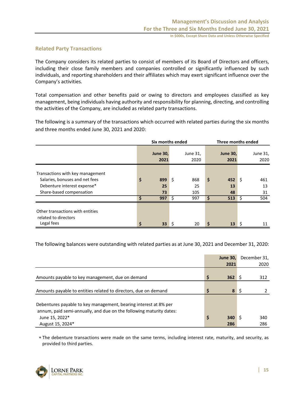## **Related Party Transactions**

The Company considers its related parties to consist of members of its Board of Directors and officers, including their close family members and companies controlled or significantly influenced by such individuals, and reporting shareholders and their affiliates which may exert significant influence over the Company's activities.

Total compensation and other benefits paid or owing to directors and employees classified as key management, being individuals having authority and responsibility for planning, directing, and controlling the activities of the Company, are included as related party transactions.

The following is a summary of the transactions which occurred with related parties during the six months and three months ended June 30, 2021 and 2020:

|                                                                        | Six months ended |                         |     |                  | Three months ended |                         |      |                  |
|------------------------------------------------------------------------|------------------|-------------------------|-----|------------------|--------------------|-------------------------|------|------------------|
|                                                                        |                  | <b>June 30,</b><br>2021 |     | June 31,<br>2020 |                    | <b>June 30,</b><br>2021 |      | June 31,<br>2020 |
| Transactions with key management<br>Salaries, bonuses and net fees     | \$               | 899                     | -\$ | 868              | \$                 | 452                     | Ŝ.   | 461              |
| Debenture interest expense*<br>Share-based compensation                |                  | 25<br>73                |     | 25<br>105        |                    | 13<br>48                |      | 13<br>31         |
|                                                                        | \$               | 997                     | - Ś | 997              | S                  | $513 \quad \seta$       |      | 504              |
| Other transactions with entities<br>related to directors<br>Legal fees | \$               | 33                      | -S  | 20               | \$                 | 13                      | . \$ | 11               |

The following balances were outstanding with related parties as at June 30, 2021 and December 31, 2020:

|                                                                                                                                                           | <b>June 30,</b>  | December 31, |
|-----------------------------------------------------------------------------------------------------------------------------------------------------------|------------------|--------------|
|                                                                                                                                                           | 2021             | 2020         |
| Amounts payable to key management, due on demand                                                                                                          | \$<br>362        | 312          |
| Amounts payable to entities related to directors, due on demand                                                                                           | 8                |              |
| Debentures payable to key management, bearing interest at 8% per<br>annum, paid semi-annually, and due on the following maturity dates:<br>June 15, 2022* | \$<br><b>340</b> | 340          |
| August 15, 2024*                                                                                                                                          | 286              | 286          |

 The debenture transactions were made on the same terms, including interest rate, maturity, and security, as provided to third parties.

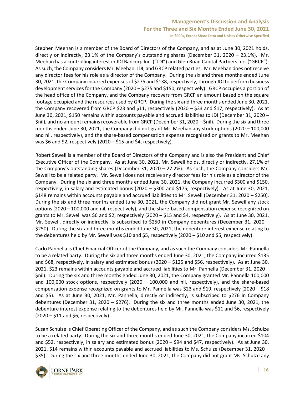Stephen Meehan is a member of the Board of Directors of the Company, and as at June 30, 2021 holds, directly or indirectly, 23.1% of the Company's outstanding shares (December 31, 2020 – 23.1%). Mr. Meehan has a controlling interest in JDI Bancorp Inc. ("JDI") and Glen Road Capital Partners Inc. ("GRCP"). As such, the Company considers Mr. Meehan, JDI, and GRCP related parties. Mr. Meehan does not receive any director fees for his role as a director of the Company. During the six and three months ended June 30, 2021, the Company incurred expenses of \$275 and \$138, respectively, through JDI to perform business development services for the Company (2020 – \$275 and \$150, respectively). GRCP occupies a portion of the head office of the Company, and the Company recovers from GRCP an amount based on the square footage occupied and the resources used by GRCP. During the six and three months ended June 30, 2021, the Company recovered from GRCP \$23 and \$11, respectively (2020 – \$33 and \$17, respectively). As at June 30, 2021, \$150 remains within accounts payable and accrued liabilities to JDI (December 31, 2020 – \$nil), and no amount remains recoverable from GRCP (December 31, 2020 – \$nil). During the six and three months ended June 30, 2021, the Company did not grant Mr. Meehan any stock options (2020 – 100,000 and nil, respectively), and the share-based compensation expense recognized on grants to Mr. Meehan was \$6 and \$2, respectively (2020 – \$15 and \$4, respectively).

Robert Sewell is a member of the Board of Directors of the Company and is also the President and Chief Executive Officer of the Company. As at June 30, 2021, Mr. Sewell holds, directly or indirectly, 27.1% of the Company's outstanding shares (December 31, 2020 – 27.2%). As such, the Company considers Mr. Sewell to be a related party. Mr. Sewell does not receive any director fees for his role as a director of the Company. During the six and three months ended June 30, 2021, the Company incurred \$300 and \$150, respectively, in salary and estimated bonus (2020 – \$300 and \$175, respectively). As at June 30, 2021, \$148 remains within accounts payable and accrued liabilities to Mr. Sewell (December 31, 2020 – \$250). During the six and three months ended June 30, 2021, the Company did not grant Mr. Sewell any stock options (2020 – 100,000 and nil, respectively), and the share-based compensation expense recognized on grants to Mr. Sewell was \$6 and \$2, respectively (2020 – \$15 and \$4, respectively). As at June 30, 2021, Mr. Sewell, directly or indirectly, is subscribed to \$250 in Company debentures (December 31, 2020 – \$250). During the six and three months ended June 30, 2021, the debenture interest expense relating to the debentures held by Mr. Sewell was \$10 and \$5, respectively (2020 – \$10 and \$5, respectively).

Carlo Pannella is Chief Financial Officer of the Company, and as such the Company considers Mr. Pannella to be a related party. During the six and three months ended June 30, 2021, the Company incurred \$135 and \$68, respectively, in salary and estimated bonus (2020 – \$125 and \$56, respectively). As at June 30, 2021, \$23 remains within accounts payable and accrued liabilities to Mr. Pannella (December 31, 2020 – \$nil). During the six and three months ended June 30, 2021, the Company granted Mr. Pannella 100,000 and 100,000 stock options, respectively (2020 – 100,000 and nil, respectively), and the share-based compensation expense recognized on grants to Mr. Pannella was \$23 and \$19, respectively (2020 – \$18 and \$5). As at June 30, 2021, Mr. Pannella, directly or indirectly, is subscribed to \$276 in Company debentures (December 31, 2020 – \$276). During the six and three months ended June 30, 2021, the debenture interest expense relating to the debentures held by Mr. Pannella was \$11 and \$6, respectively (2020 – \$11 and \$6, respectively).

Susan Schulze is Chief Operating Officer of the Company, and as such the Company considers Ms. Schulze to be a related party. During the six and three months ended June 30, 2021, the Company incurred \$104 and \$52, respectively, in salary and estimated bonus (2020 – \$94 and \$47, respectively). As at June 30, 2021, \$14 remains within accounts payable and accrued liabilities to Ms. Schulze (December 31, 2020 – \$35). During the six and three months ended June 30, 2021, the Company did not grant Ms. Schulze any

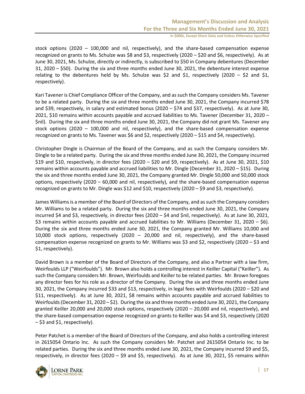stock options (2020 – 100,000 and nil, respectively), and the share-based compensation expense recognized on grants to Ms. Schulze was \$8 and \$3, respectively (2020 – \$20 and \$6, respectively). As at June 30, 2021, Ms. Schulze, directly or indirectly, is subscribed to \$50 in Company debentures (December 31, 2020 – \$50). During the six and three months ended June 30, 2021, the debenture interest expense relating to the debentures held by Ms. Schulze was \$2 and \$1, respectively (2020 – \$2 and \$1, respectively).

Kari Tavener is Chief Compliance Officer of the Company, and as such the Company considers Ms. Tavener to be a related party. During the six and three months ended June 30, 2021, the Company incurred \$78 and \$39, respectively, in salary and estimated bonus (2020 – \$74 and \$37, respectively). As at June 30, 2021, \$10 remains within accounts payable and accrued liabilities to Ms. Tavener (December 31, 2020 – \$nil). During the six and three months ended June 30, 2021, the Company did not grant Ms. Tavener any stock options (2020 – 100,000 and nil, respectively), and the share-based compensation expense recognized on grants to Ms. Tavener was \$6 and \$2, respectively (2020 – \$15 and \$4, respectively).

Christopher Dingle is Chairman of the Board of the Company, and as such the Company considers Mr. Dingle to be a related party. During the six and three months ended June 30, 2021, the Company incurred \$19 and \$10, respectively, in director fees (2020 – \$20 and \$9, respectively). As at June 30, 2021, \$10 remains within accounts payable and accrued liabilities to Mr. Dingle (December 31, 2020 – \$15). During the six and three months ended June 30, 2021, the Company granted Mr. Dingle 50,000 and 50,000 stock options, respectively (2020 – 60,000 and nil, respectively), and the share-based compensation expense recognized on grants to Mr. Dingle was \$12 and \$10, respectively (2020 – \$9 and \$3, respectively).

James Williams is a member of the Board of Directors of the Company, and as such the Company considers Mr. Williams to be a related party. During the six and three months ended June 30, 2021, the Company incurred \$4 and \$3, respectively, in director fees (2020 – \$4 and \$nil, respectively). As at June 30, 2021, \$3 remains within accounts payable and accrued liabilities to Mr. Williams (December 31, 2020 – \$6). During the six and three months ended June 30, 2021, the Company granted Mr. Williams 10,000 and 10,000 stock options, respectively (2020 – 20,000 and nil, respectively), and the share-based compensation expense recognized on grants to Mr. Williams was \$3 and \$2, respectively (2020 – \$3 and \$1, respectively).

David Brown is a member of the Board of Directors of the Company, and also a Partner with a law firm, Weirfoulds LLP ("Weirfoulds"). Mr. Brown also holds a controlling interest in Keiller Capital ("Keiller"). As such the Company considers Mr. Brown, Weirfoulds and Keiller to be related parties. Mr. Brown foregoes any director fees for his role as a director of the Company. During the six and three months ended June 30, 2021, the Company incurred \$33 and \$13, respectively, in legal fees with Weirfoulds (2020 – \$20 and \$11, respectively). As at June 30, 2021, \$8 remains within accounts payable and accrued liabilities to Weirfoulds (December 31, 2020 – \$2). During the six and three months ended June 30, 2021, the Company granted Keiller 20,000 and 20,000 stock options, respectively (2020 – 20,000 and nil, respectively), and the share-based compensation expense recognized on grants to Keiller was \$4 and \$3, respectively (2020 – \$3 and \$1, respectively).

Peter Patchet is a member of the Board of Directors of the Company, and also holds a controlling interest in 2615054 Ontario Inc. As such the Company considers Mr. Patchet and 2615054 Ontario Inc. to be related parties. During the six and three months ended June 30, 2021, the Company incurred \$9 and \$5, respectively, in director fees (2020 – \$9 and \$5, respectively). As at June 30, 2021, \$5 remains within

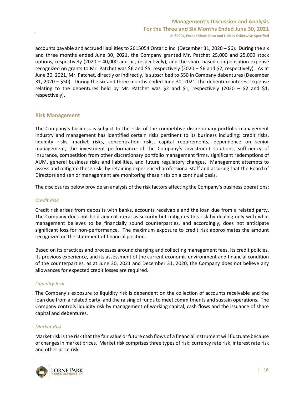accounts payable and accrued liabilities to 2615054 Ontario Inc. (December 31, 2020 – \$6). During the six and three months ended June 30, 2021, the Company granted Mr. Patchet 25,000 and 25,000 stock options, respectively (2020 – 40,000 and nil, respectively), and the share-based compensation expense recognized on grants to Mr. Patchet was \$6 and \$5, respectively (2020 – \$6 and \$2, respectively). As at June 30, 2021, Mr. Patchet, directly or indirectly, is subscribed to \$50 in Company debentures (December 31, 2020 – \$50). During the six and three months ended June 30, 2021, the debenture interest expense relating to the debentures held by Mr. Patchet was \$2 and \$1, respectively (2020 – \$2 and \$1, respectively).

## **Risk Management**

The Company's business is subject to the risks of the competitive discretionary portfolio management industry and management has identified certain risks pertinent to its business including: credit risks, liquidity risks, market risks, concentration risks, capital requirements, dependence on senior management, the investment performance of the Company's investment solutions, sufficiency of insurance, competition from other discretionary portfolio management firms, significant redemptions of AUM, general business risks and liabilities, and future regulatory changes. Management attempts to assess and mitigate these risks by retaining experienced professional staff and assuring that the Board of Directors and senior management are monitoring these risks on a continual basis.

The disclosures below provide an analysis of the risk factors affecting the Company's business operations:

## *Credit Risk*

Credit risk arises from deposits with banks, accounts receivable and the loan due from a related party. The Company does not hold any collateral as security but mitigates this risk by dealing only with what management believes to be financially sound counterparties, and accordingly, does not anticipate significant loss for non-performance. The maximum exposure to credit risk approximates the amount recognized on the statement of financial position.

Based on its practices and processes around charging and collecting management fees, its credit policies, its previous experience, and its assessment of the current economic environment and financial condition of the counterparties, as at June 30, 2021 and December 31, 2020, the Company does not believe any allowances for expected credit losses are required.

## *Liquidity Risk*

The Company's exposure to liquidity risk is dependent on the collection of accounts receivable and the loan due from a related party, and the raising of funds to meet commitments and sustain operations. The Company controls liquidity risk by management of working capital, cash flows and the issuance of share capital and debentures.

## *Market Risk*

Market risk is the risk that the fair value or future cash flows of a financial instrument will fluctuate because of changes in market prices. Market risk comprises three types of risk: currency rate risk, interest rate risk and other price risk.

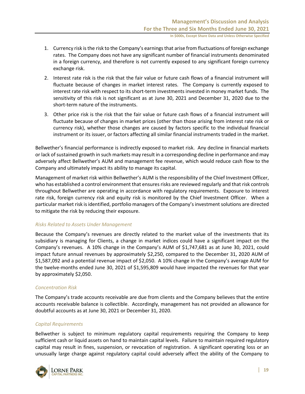- 1. Currency risk is the risk to the Company's earnings that arise from fluctuations of foreign exchange rates. The Company does not have any significant number of financial instruments denominated in a foreign currency, and therefore is not currently exposed to any significant foreign currency exchange risk.
- 2. Interest rate risk is the risk that the fair value or future cash flows of a financial instrument will fluctuate because of changes in market interest rates. The Company is currently exposed to interest rate risk with respect to its short-term investments invested in money market funds. The sensitivity of this risk is not significant as at June 30, 2021 and December 31, 2020 due to the short-term nature of the instruments.
- 3. Other price risk is the risk that the fair value or future cash flows of a financial instrument will fluctuate because of changes in market prices (other than those arising from interest rate risk or currency risk), whether those changes are caused by factors specific to the individual financial instrument or its issuer, or factors affecting all similar financial instruments traded in the market.

Bellwether's financial performance is indirectly exposed to market risk. Any decline in financial markets or lack of sustained growth in such markets may result in a corresponding decline in performance and may adversely affect Bellwether's AUM and management fee revenue, which would reduce cash flow to the Company and ultimately impact its ability to manage its capital.

Management of market risk within Bellwether's AUM is the responsibility of the Chief Investment Officer, who has established a control environment that ensures risks are reviewed regularly and that risk controls throughout Bellwether are operating in accordance with regulatory requirements. Exposure to interest rate risk, foreign currency risk and equity risk is monitored by the Chief Investment Officer. When a particular market risk is identified, portfolio managers of the Company's investment solutions are directed to mitigate the risk by reducing their exposure.

## *Risks Related to Assets Under Management*

Because the Company's revenues are directly related to the market value of the investments that its subsidiary is managing for Clients, a change in market indices could have a significant impact on the Company's revenues. A 10% change in the Company's AUM of \$1,747,681 as at June 30, 2021, could impact future annual revenues by approximately \$2,250, compared to the December 31, 2020 AUM of \$1,587,092 and a potential revenue impact of \$2,050. A 10% change in the Company's average AUM for the twelve-months ended June 30, 2021 of \$1,595,809 would have impacted the revenues for that year by approximately \$2,050.

## *Concentration Risk*

The Company's trade accounts receivable are due from clients and the Company believes that the entire accounts receivable balance is collectible. Accordingly, management has not provided an allowance for doubtful accounts as at June 30, 2021 or December 31, 2020.

## *Capital Requirements*

Bellwether is subject to minimum regulatory capital requirements requiring the Company to keep sufficient cash or liquid assets on hand to maintain capital levels. Failure to maintain required regulatory capital may result in fines, suspension, or revocation of registration. A significant operating loss or an unusually large charge against regulatory capital could adversely affect the ability of the Company to

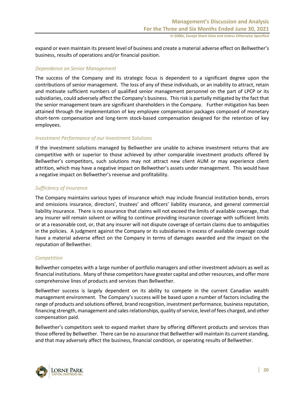expand or even maintain its present level of business and create a material adverse effect on Bellwether's business, results of operations and/or financial position.

### *Dependence on Senior Management*

The success of the Company and its strategic focus is dependent to a significant degree upon the contributions of senior management. The loss of any of these individuals, or an inability to attract, retain and motivate sufficient numbers of qualified senior management personnel on the part of LPCP or its subsidiaries, could adversely affect the Company's business. This risk is partially mitigated by the fact that the senior management team are significant shareholders in the Company. Further mitigation has been attained through the implementation of key employee compensation packages composed of monetary short-term compensation and long-term stock-based compensation designed for the retention of key employees.

## *Investment Performance of our Investment Solutions*

If the investment solutions managed by Bellwether are unable to achieve investment returns that are competitive with or superior to those achieved by other comparable investment products offered by Bellwether's competitors, such solutions may not attract new client AUM or may experience client attrition, which may have a negative impact on Bellwether's assets under management. This would have a negative impact on Bellwether's revenue and profitability.

#### *Sufficiency of Insurance*

The Company maintains various types of insurance which may include financial institution bonds, errors and omissions insurance, directors', trustees' and officers' liability insurance, and general commercial liability insurance. There is no assurance that claims will not exceed the limits of available coverage, that any insurer will remain solvent or willing to continue providing insurance coverage with sufficient limits or at a reasonable cost, or, that any insurer will not dispute coverage of certain claims due to ambiguities in the policies. A judgment against the Company or its subsidiaries in excess of available coverage could have a material adverse effect on the Company in terms of damages awarded and the impact on the reputation of Bellwether.

#### *Competition*

Bellwether competes with a large number of portfolio managers and other investment advisors as well as financial institutions. Many of these competitors have greater capital and other resources, and offer more comprehensive lines of products and services than Bellwether.

Bellwether success is largely dependent on its ability to compete in the current Canadian wealth management environment. The Company's success will be based upon a number of factors including the range of products and solutions offered, brand recognition, investment performance, business reputation, financing strength, management and sales relationships, quality of service, level of fees charged, and other compensation paid.

Bellwether's competitors seek to expand market share by offering different products and services than those offered by Bellwether. There can be no assurance that Bellwether will maintain its current standing, and that may adversely affect the business, financial condition, or operating results of Bellwether.